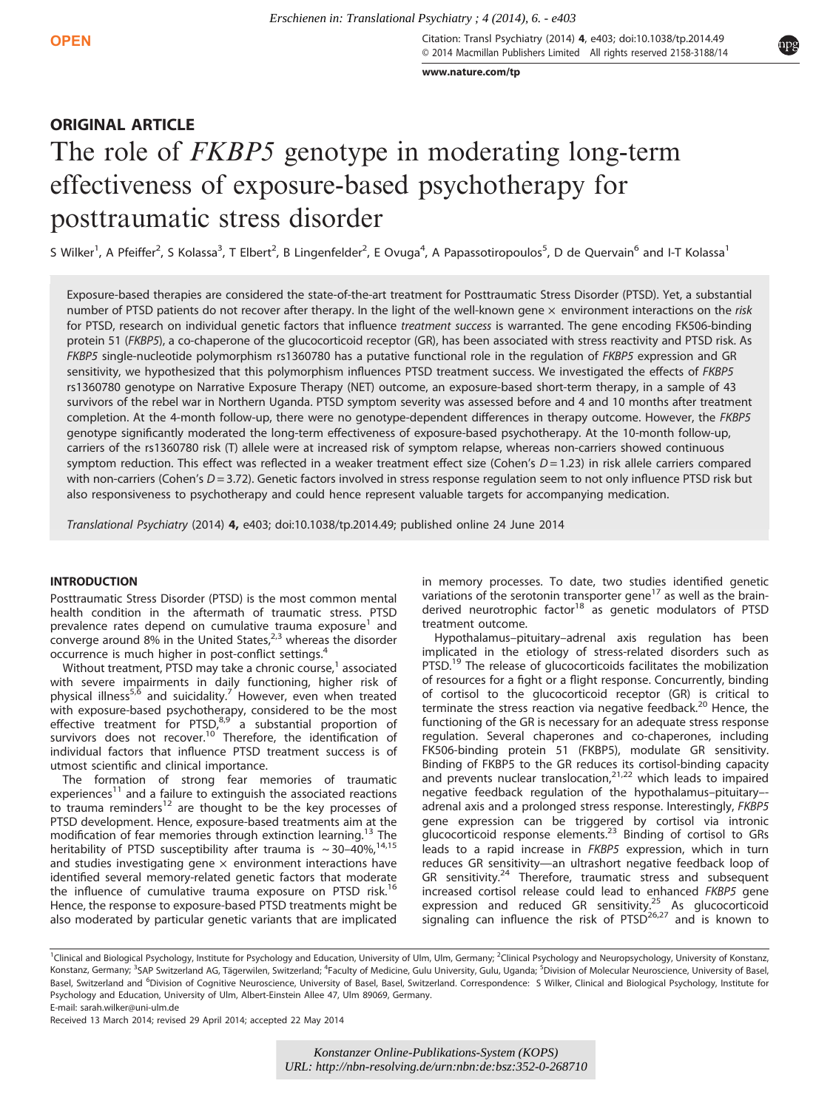Citation: Transl Psychiatry (2014) 4, e403; doi:10.1038/tp.2014.49 © 2014 Macmillan Publishers Limited All rights reserved 2158-3188/14

[www.nature.com/tp](http://www.nature.com/tp)

# ORIGINAL ARTICLE

# The role of *FKBP5* genotype in moderating long-term effectiveness of exposure-based psychotherapy for posttraumatic stress disorder

S Wilker<sup>1</sup>, A Pfeiffer<sup>2</sup>, S Kolassa<sup>3</sup>, T Elbert<sup>2</sup>, B Lingenfelder<sup>2</sup>, E Ovuga<sup>4</sup>, A Papassotiropoulos<sup>5</sup>, D de Quervain<sup>6</sup> and I-T Kolassa<sup>1</sup>

Exposure-based therapies are considered the state-of-the-art treatment for Posttraumatic Stress Disorder (PTSD). Yet, a substantial number of PTSD patients do not recover after therapy. In the light of the well-known gene  $\times$  environment interactions on the risk for PTSD, research on individual genetic factors that influence treatment success is warranted. The gene encoding FK506-binding protein 51 (FKBP5), a co-chaperone of the glucocorticoid receptor (GR), has been associated with stress reactivity and PTSD risk. As FKBP5 single-nucleotide polymorphism rs1360780 has a putative functional role in the regulation of FKBP5 expression and GR sensitivity, we hypothesized that this polymorphism influences PTSD treatment success. We investigated the effects of FKBP5 rs1360780 genotype on Narrative Exposure Therapy (NET) outcome, an exposure-based short-term therapy, in a sample of 43 survivors of the rebel war in Northern Uganda. PTSD symptom severity was assessed before and 4 and 10 months after treatment completion. At the 4-month follow-up, there were no genotype-dependent differences in therapy outcome. However, the FKBP5 genotype significantly moderated the long-term effectiveness of exposure-based psychotherapy. At the 10-month follow-up, carriers of the rs1360780 risk (T) allele were at increased risk of symptom relapse, whereas non-carriers showed continuous symptom reduction. This effect was reflected in a weaker treatment effect size (Cohen's  $D = 1.23$ ) in risk allele carriers compared with non-carriers (Cohen's  $D = 3.72$ ). Genetic factors involved in stress response regulation seem to not only influence PTSD risk but also responsiveness to psychotherapy and could hence represent valuable targets for accompanying medication. *Erschienen in: Translational Psychiatry, 4 (2014), 6. - e403<br> URL:<br> URL: CONSTRANCT CONSTRANCT (2014) \frac{6.2014 \text{ Marc}^2}{\text{W} \cdot \text{W} \cdot \text{W} \cdot \text{W} \cdot \text{W} \cdot \text{W} \cdot \text{W} \cdot \text{W} \cdot \text{W} \cdot \text{W} \cdot \text{W} \cdot \text{W} \cdot \text{W} \cdot \text{* 

Translational Psychiatry (2014) 4, e403; doi:10.1038/tp.2014.49; published online 24 June 2014

# **INTRODUCTION**

Posttraumatic Stress Disorder (PTSD) is the most common mental health condition in the aftermath of traumatic stress. PTSD prevalence rates depend on cumulative trauma exposure<sup>[1](#page-5-0)</sup> and converge around 8% in the United States, $2,3$  whereas the disorder occurrence is much higher in post-conflict settings.[4](#page-5-0)

Without treatment, PTSD may take a chronic course, $1$  associated with severe impairments in daily functioning, higher risk of physical illness<sup>[5](#page-5-0),[6](#page-5-0)</sup> and suicidality.<sup>[7](#page-5-0)</sup> However, even when treated with exposure-based psychotherapy, considered to be the most<br>effective treatment for PTSD,<sup>[8,9](#page-5-0)</sup> a substantial proportion of survivors does not recover.<sup>[10](#page-5-0)</sup> Therefore, the identification of individual factors that influence PTSD treatment success is of utmost scientific and clinical importance.

The formation of strong fear memories of traumatic experiences<sup>11</sup> and a failure to extinguish the associated reactions to trauma reminders<sup>[12](#page-5-0)</sup> are thought to be the key processes of PTSD development. Hence, exposure-based treatments aim at the modification of fear memories through extinction learning.<sup>[13](#page-5-0)</sup> heritability of PTSD susceptibility after trauma is  $\sim$  30–40%,<sup>[14,15](#page-5-0)</sup> and studies investigating gene  $\times$  environment interactions have identified several memory-related genetic factors that moderate the influence of cumulative trauma exposure on PTSD risk.<sup>[16](#page-5-0)</sup> Hence, the response to exposure-based PTSD treatments might be also moderated by particular genetic variants that are implicated in memory processes. To date, two studies identified genetic variations of the serotonin transporter gene<sup>[17](#page-5-0)</sup> as well as the brain-derived neurotrophic factor<sup>[18](#page-5-0)</sup> as genetic modulators of PTSD treatment outcome.

Hypothalamus–pituitary–adrenal axis regulation has been implicated in the etiology of stress-related disorders such as PTSD.<sup>[19](#page-5-0)</sup> The release of glucocorticoids facilitates the mobilization of resources for a fight or a flight response. Concurrently, binding of cortisol to the glucocorticoid receptor (GR) is critical to terminate the stress reaction via negative feedback.<sup>[20](#page-5-0)</sup> Hence, the functioning of the GR is necessary for an adequate stress response regulation. Several chaperones and co-chaperones, including FK506-binding protein 51 (FKBP5), modulate GR sensitivity. Binding of FKBP5 to the GR reduces its cortisol-binding capacity<br>and prevents nuclear translocation,<sup>[21](#page-5-0),[22](#page-5-0)</sup> which leads to impaired negative feedback regulation of the hypothalamus–pituitary– adrenal axis and a prolonged stress response. Interestingly, FKBP5 gene expression can be triggered by cortisol via intronic glucocorticoid response elements.<sup>[23](#page-5-0)</sup> Binding of cortisol to GRs leads to a rapid increase in FKBP5 expression, which in turn reduces GR sensitivity—an ultrashort negative feedback loop of GR sensitivity.[24](#page-5-0) Therefore, traumatic stress and subsequent increased cortisol release could lead to enhanced FKBP5 gene expression and reduced GR sensitivity.<sup>[25](#page-5-0)</sup> As glucocorticoid signaling can influence the risk of  $PTSD^{26,27}$  $PTSD^{26,27}$  $PTSD^{26,27}$  and is known to

E-mail: [sarah.wilker@uni-ulm.de](mailto:sarah.wilker@uni-ulm.de)

Received 13 March 2014; revised 29 April 2014; accepted 22 May 2014

*Konstanzer Online-Publikations-System (KOPS)* 



<sup>&</sup>lt;sup>1</sup>Clinical and Biological Psychology, Institute for Psychology and Education, University of Ulm, Ulm, Germany; <sup>2</sup>Clinical Psychology and Neuropsychology, University of Konstanz, Konstanz, Germany; <sup>3</sup>SAP Switzerland AG, Tägerwilen, Switzerland; <sup>4</sup>Faculty of Medicine, Gulu University, Gulu, Uganda; <sup>5</sup>Division of Molecular Neuroscience, University of Basel, Basel, Switzerland and <sup>6</sup>Division of Cognitive Neuroscience, University of Basel, Basel, Switzerland. Correspondence: S Wilker, Clinical and Biological Psychology, Institute for Psychology and Education, University of Ulm, Albert-Einstein Allee 47, Ulm 89069, Germany.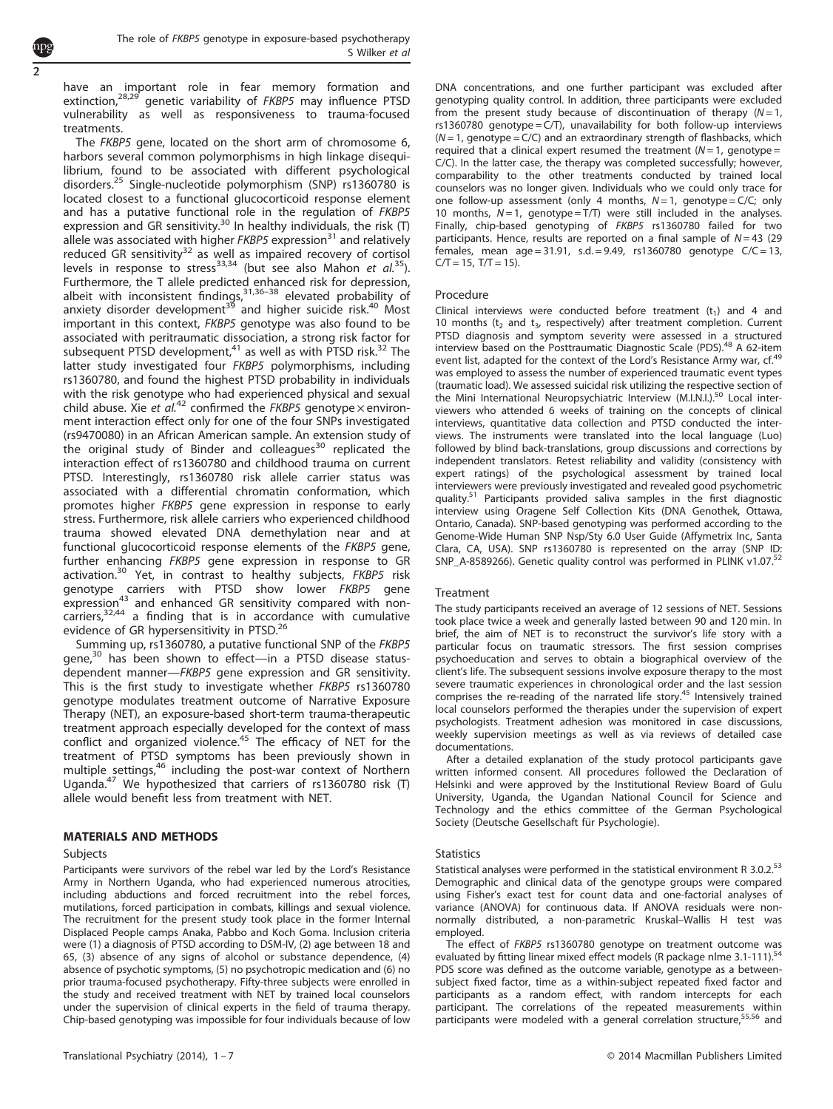have an important role in fear memory formation and extinction,<sup>[28](#page-5-0),[29](#page-5-0)</sup> genetic variability of FKBP5 may influence PTSD vulnerability as well as responsiveness to trauma-focused treatments.

The FKBP5 gene, located on the short arm of chromosome 6, harbors several common polymorphisms in high linkage disequilibrium, found to be associated with different psychological disorders.[25](#page-5-0) Single-nucleotide polymorphism (SNP) rs1360780 is located closest to a functional glucocorticoid response element and has a putative functional role in the regulation of FKBP5 expression and GR sensitivity.<sup>[30](#page-5-0)</sup> In healthy individuals, the risk (T) allele was associated with higher  $FKBP5$  expression<sup>[31](#page-5-0)</sup> and relatively reduced GR sensitivity<sup>[32](#page-5-0)</sup> as well as impaired recovery of cortisol levels in response to stress<sup>[33,34](#page-5-0)</sup> (but see also Mahon et  $al$ <sup>[35](#page-5-0)</sup>). Furthermore, the T allele predicted [enha](#page-5-0)nced risk for depression,<br>albeit with inconsistent findings,<sup>[31,](#page-5-0)36–38</sup> elevated probability of anxiety disorder development<sup>[39](#page-6-0)</sup> and higher suicide risk.<sup>[40](#page-6-0)</sup> Most important in this context, FKBP5 genotype was also found to be associated with peritraumatic dissociation, a strong risk factor for subsequent PTSD development, $41$  as well as with PTSD risk. $32$  The latter study investigated four FKBP5 polymorphisms, including rs1360780, and found the highest PTSD probability in individuals with the risk genotype who had experienced physical and sexual child abuse. Xie et al.<sup>[42](#page-6-0)</sup> confirmed the FKBP5 genotype  $\times$  environment interaction effect only for one of the four SNPs investigated (rs9470080) in an African American sample. An extension study of the original study of Binder and colleagues<sup>[30](#page-5-0)</sup> replicated the interaction effect of rs1360780 and childhood trauma on current PTSD. Interestingly, rs1360780 risk allele carrier status was associated with a differential chromatin conformation, which promotes higher FKBP5 gene expression in response to early stress. Furthermore, risk allele carriers who experienced childhood trauma showed elevated DNA demethylation near and at functional glucocorticoid response elements of the FKBP5 gene, further enhancing FKBP5 gene expression in response to GR activation.<sup>[30](#page-5-0)</sup> Yet, in contrast to healthy subjects, FKBP5 risk genotype carriers with PTSD show lower FKBP5 gene expression<sup>[43](#page-6-0)</sup> and enhanced GR sensitivity compared with non-carriers,<sup>[32](#page-5-0)[,44](#page-6-0)</sup> a finding that is in accordance with cumulative evidence of GR hypersensitivity in PTSD.<sup>[26](#page-5-0)</sup>

Summing up, rs1360780, a putative functional SNP of the FKBP5 gene,<sup>[30](#page-5-0)</sup> has been shown to effect—in a PTSD disease statusdependent manner—FKBP5 gene expression and GR sensitivity. This is the first study to investigate whether FKBP5 rs1360780 genotype modulates treatment outcome of Narrative Exposure Therapy (NET), an exposure-based short-term trauma-therapeutic treatment approach especially developed for the context of mass conflict and organized violence.<sup>45</sup> The efficacy of NET for the treatment of PTSD symptoms has been previously shown in multiple settings,<sup>[46](#page-6-0)</sup> including the post-war context of Northern Uganda[.47](#page-6-0) We hypothesized that carriers of rs1360780 risk (T) allele would benefit less from treatment with NET.

### MATERIALS AND METHODS

#### Subjects

Participants were survivors of the rebel war led by the Lord's Resistance Army in Northern Uganda, who had experienced numerous atrocities, including abductions and forced recruitment into the rebel forces, mutilations, forced participation in combats, killings and sexual violence. The recruitment for the present study took place in the former Internal Displaced People camps Anaka, Pabbo and Koch Goma. Inclusion criteria were (1) a diagnosis of PTSD according to DSM-IV, (2) age between 18 and 65, (3) absence of any signs of alcohol or substance dependence, (4) absence of psychotic symptoms, (5) no psychotropic medication and (6) no prior trauma-focused psychotherapy. Fifty-three subjects were enrolled in the study and received treatment with NET by trained local counselors under the supervision of clinical experts in the field of trauma therapy. Chip-based genotyping was impossible for four individuals because of low DNA concentrations, and one further participant was excluded after genotyping quality control. In addition, three participants were excluded from the present study because of discontinuation of therapy  $(N=1, 1)$ rs1360780 genotype =  $C/T$ ), unavailability for both follow-up interviews  $(N=1,$  genotype  $=C/C$ ) and an extraordinary strength of flashbacks, which required that a clinical expert resumed the treatment  $(N=1,$  genotype = C/C). In the latter case, the therapy was completed successfully; however, comparability to the other treatments conducted by trained local counselors was no longer given. Individuals who we could only trace for one follow-up assessment (only 4 months,  $N=1$ , genotype = C/C; only 10 months,  $N=1$ , genotype = T/T) were still included in the analyses. Finally, chip-based genotyping of FKBP5 rs1360780 failed for two participants. Hence, results are reported on a final sample of  $N=43$  (29 females, mean age = 31.91, s.d. = 9.49, rs1360780 genotype  $C/C = 13$ ,  $C/T = 15$ ,  $T/T = 15$ ).

#### Procedure

Clinical interviews were conducted before treatment  $(t_1)$  and 4 and 10 months ( $t_2$  and  $t_3$ , respectively) after treatment completion. Current PTSD diagnosis and symptom severity were assessed in a structured<br>interview based on the Posttraumatic Diagnostic Scale (PDS).<sup>[48](#page-6-0)</sup> A 62-item event list, adapted for the context of the Lord's Resistance Army war, cf.<sup>[49](#page-6-0)</sup> was employed to assess the number of experienced traumatic event types (traumatic load). We assessed suicidal risk utilizing the respective section of the Mini International Neuropsychiatric Interview (M.I.N.I.)[.50](#page-6-0) Local interviewers who attended 6 weeks of training on the concepts of clinical interviews, quantitative data collection and PTSD conducted the interviews. The instruments were translated into the local language (Luo) followed by blind back-translations, group discussions and corrections by independent translators. Retest reliability and validity (consistency with expert ratings) of the psychological assessment by trained local interviewers were previously investigated and revealed good psychometric quality[.51](#page-6-0) Participants provided saliva samples in the first diagnostic interview using Oragene Self Collection Kits (DNA Genothek, Ottawa, Ontario, Canada). SNP-based genotyping was performed according to the Genome-Wide Human SNP Nsp/Sty 6.0 User Guide (Affymetrix Inc, Santa Clara, CA, USA). SNP rs1360780 is represented on the array (SNP ID:<br>SNP\_A-8589266). Genetic quality control was performed in PLINK v1.07.<sup>52</sup>

#### Treatment

The study participants received an average of 12 sessions of NET. Sessions took place twice a week and generally lasted between 90 and 120 min. In brief, the aim of NET is to reconstruct the survivor's life story with a particular focus on traumatic stressors. The first session comprises psychoeducation and serves to obtain a biographical overview of the client's life. The subsequent sessions involve exposure therapy to the most severe traumatic experiences in chronological order and the last session comprises the re-reading of the narrated life story.<sup>[45](#page-6-0)</sup> Intensively trained local counselors performed the therapies under the supervision of expert psychologists. Treatment adhesion was monitored in case discussions, weekly supervision meetings as well as via reviews of detailed case documentations.

After a detailed explanation of the study protocol participants gave written informed consent. All procedures followed the Declaration of Helsinki and were approved by the Institutional Review Board of Gulu University, Uganda, the Ugandan National Council for Science and Technology and the ethics committee of the German Psychological Society (Deutsche Gesellschaft für Psychologie).

#### **Statistics**

Statistical analyses were performed in the statistical environment R 3.0.2.<sup>53</sup> Demographic and clinical data of the genotype groups were compared using Fisher's exact test for count data and one-factorial analyses of variance (ANOVA) for continuous data. If ANOVA residuals were nonnormally distributed, a non-parametric Kruskal–Wallis H test was employed.

The effect of FKBP5 rs1360780 genotype on treatment outcome was evaluated by fitting linear mixed effect models (R package nlme 3.1-111).<sup>54</sup> PDS score was defined as the outcome variable, genotype as a betweensubject fixed factor, time as a within-subject repeated fixed factor and participants as a random effect, with random intercepts for each participant. The correlations of the repeated measurements within<br>participants were modeled with a general correlation structure,<sup>[55,56](#page-6-0)</sup> and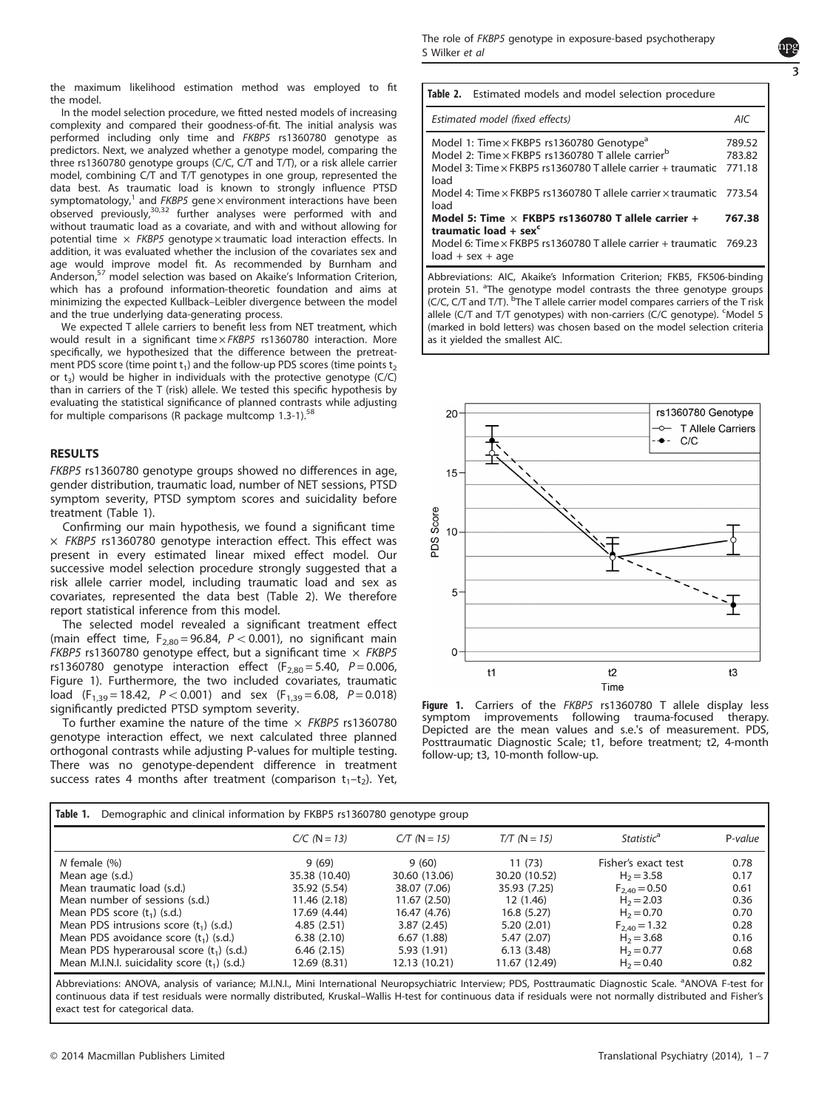<span id="page-2-0"></span>the maximum likelihood estimation method was employed to fit the model.

In the model selection procedure, we fitted nested models of increasing complexity and compared their goodness-of-fit. The initial analysis was performed including only time and FKBP5 rs1360780 genotype as predictors. Next, we analyzed whether a genotype model, comparing the three rs1360780 genotype groups (C/C, C/T and T/T), or a risk allele carrier model, combining C/T and T/T genotypes in one group, represented the data best. As traumatic load is known to strongly influence PTSD symptomatology, $1$  and FKBP5 gene  $\times$  environment interactions have been  $\sigma$  observed previously, $30,32$  further analyses were performed with and without traumatic load as a covariate, and with and without allowing for potential time  $\times$  FKBP5 genotype  $\times$  traumatic load interaction effects. In addition, it was evaluated whether the inclusion of the covariates sex and age would improve model fit. As recommended by Burnham and Anderson,<sup>57</sup> model selection was based on Akaike's Information Criterion, which has a profound information-theoretic foundation and aims at minimizing the expected Kullback–Leibler divergence between the model and the true underlying data-generating process.

We expected T allele carriers to benefit less from NET treatment, which would result in a significant time x FKBP5 rs1360780 interaction. More specifically, we hypothesized that the difference between the pretreatment PDS score (time point  $t_1$ ) and the follow-up PDS scores (time points  $t_2$ or  $t_3$ ) would be higher in individuals with the protective genotype (C/C) than in carriers of the T (risk) allele. We tested this specific hypothesis by evaluating the statistical significance of planned contrasts while adjusting for multiple comparisons (R package multcomp 1.3-1).<sup>[58](#page-6-0)</sup>

# RESULTS

FKBP5 rs1360780 genotype groups showed no differences in age, gender distribution, traumatic load, number of NET sessions, PTSD symptom severity, PTSD symptom scores and suicidality before treatment (Table 1).

Confirming our main hypothesis, we found a significant time  $\times$  FKBP5 rs1360780 genotype interaction effect. This effect was present in every estimated linear mixed effect model. Our successive model selection procedure strongly suggested that a risk allele carrier model, including traumatic load and sex as covariates, represented the data best (Table 2). We therefore report statistical inference from this model.

The selected model revealed a significant treatment effect (main effect time,  $F_{2,80} = 96.84$ ,  $P < 0.001$ ), no significant main FKBP5 rs1360780 genotype effect, but a significant time  $\times$  FKBP5 rs1360780 genotype interaction effect ( $F_{2,80} = 5.40$ ,  $P = 0.006$ , Figure 1). Furthermore, the two included covariates, traumatic load (F<sub>1,39</sub> = 18.42, P < 0.001) and sex (F<sub>1,39</sub> = 6.08, P = 0.018) significantly predicted PTSD symptom severity.

To further examine the nature of the time  $\times$  FKBP5 rs1360780 genotype interaction effect, we next calculated three planned orthogonal contrasts while adjusting P-values for multiple testing. There was no genotype-dependent difference in treatment success rates 4 months after treatment (comparison  $t_1-t_2$ ). Yet,

| Table 2. Estimated models and model selection procedure                                                                                                                                               |                            |
|-------------------------------------------------------------------------------------------------------------------------------------------------------------------------------------------------------|----------------------------|
| Estimated model (fixed effects)                                                                                                                                                                       | AIC                        |
| Model 1: Time $\times$ FKBP5 rs1360780 Genotype <sup>a</sup><br>Model 2: Time x FKBP5 rs1360780 T allele carrier <sup>b</sup><br>Model 3: Time x FKBP5 rs1360780 T allele carrier + traumatic<br>load | 789.52<br>783.82<br>771.18 |
| Model 4: Time x FKBP5 rs1360780 T allele carrier x traumatic 773.54<br>load                                                                                                                           |                            |
| Model 5: Time $\times$ FKBP5 rs1360780 T allele carrier +<br>traumatic load + sex <sup>c</sup>                                                                                                        | 767.38                     |
| Model 6: Time x FKBP5 rs1360780 T allele carrier + traumatic 769.23<br>$load + sex + age$                                                                                                             |                            |

Abbreviations: AIC, Akaike's Information Criterion; FKB5, FK506-binding protein 51. <sup>a</sup> The genotype model contrasts the three genotype groups (C/C, C/T and T/T). <sup>b</sup> The T allele carrier model compares carriers of the T risk allele (C/T and T/T genotypes) with non-carriers (C/C genotype). CModel 5 (marked in bold letters) was chosen based on the model selection criteria as it yielded the smallest AIC.



Figure 1. Carriers of the FKBP5 rs1360780 T allele display less symptom improvements following trauma-focused therapy. Depicted are the mean values and s.e.'s of measurement. PDS, Posttraumatic Diagnostic Scale; t1, before treatment; t2, 4-month follow-up; t3, 10-month follow-up.

| Table 1.<br>Demographic and clinical information by FKBP5 rs1360780 genotype group |                |                |                |                        |         |  |  |  |  |
|------------------------------------------------------------------------------------|----------------|----------------|----------------|------------------------|---------|--|--|--|--|
|                                                                                    | $C/C$ (N = 13) | $C/T$ (N = 15) | $T/T (N = 15)$ | Statistic <sup>a</sup> | P-value |  |  |  |  |
| $N$ female $(\%)$                                                                  | 9(69)          | 9(60)          | 11(73)         | Fisher's exact test    | 0.78    |  |  |  |  |
| Mean age (s.d.)                                                                    | 35.38 (10.40)  | 30.60 (13.06)  | 30.20 (10.52)  | $H_2 = 3.58$           | 0.17    |  |  |  |  |
| Mean traumatic load (s.d.)                                                         | 35.92 (5.54)   | 38.07 (7.06)   | 35.93 (7.25)   | $F_{2,40} = 0.50$      | 0.61    |  |  |  |  |
| Mean number of sessions (s.d.)                                                     | 11.46 (2.18)   | 11.67(2.50)    | 12(1.46)       | $H_2 = 2.03$           | 0.36    |  |  |  |  |
| Mean PDS score $(t_1)$ (s.d.)                                                      | 17.69 (4.44)   | 16.47 (4.76)   | 16.8(5.27)     | $H_2 = 0.70$           | 0.70    |  |  |  |  |
| Mean PDS intrusions score $(t_1)$ (s.d.)                                           | 4.85(2.51)     | 3.87(2.45)     | 5.20(2.01)     | $F_{2,40} = 1.32$      | 0.28    |  |  |  |  |
| Mean PDS avoidance score $(t_1)$ (s.d.)                                            | 6.38(2.10)     | 6.67(1.88)     | 5.47 (2.07)    | $H_2 = 3.68$           | 0.16    |  |  |  |  |
| Mean PDS hyperarousal score $(t_1)$ (s.d.)                                         | 6.46(2.15)     | 5.93(1.91)     | 6.13(3.48)     | $H_2 = 0.77$           | 0.68    |  |  |  |  |
| Mean M.I.N.I. suicidality score $(t_1)$ (s.d.)                                     | 12.69 (8.31)   | 12.13 (10.21)  | 11.67 (12.49)  | $H_2 = 0.40$           | 0.82    |  |  |  |  |

Abbreviations: ANOVA, analysis of variance; M.I.N.I., Mini International Neuropsychiatric Interview; PDS, Posttraumatic Diagnostic Scale. <sup>a</sup>ANOVA F-test for continuous data if test residuals were normally distributed, Kruskal–Wallis H-test for continuous data if residuals were not normally distributed and Fisher's exact test for categorical data.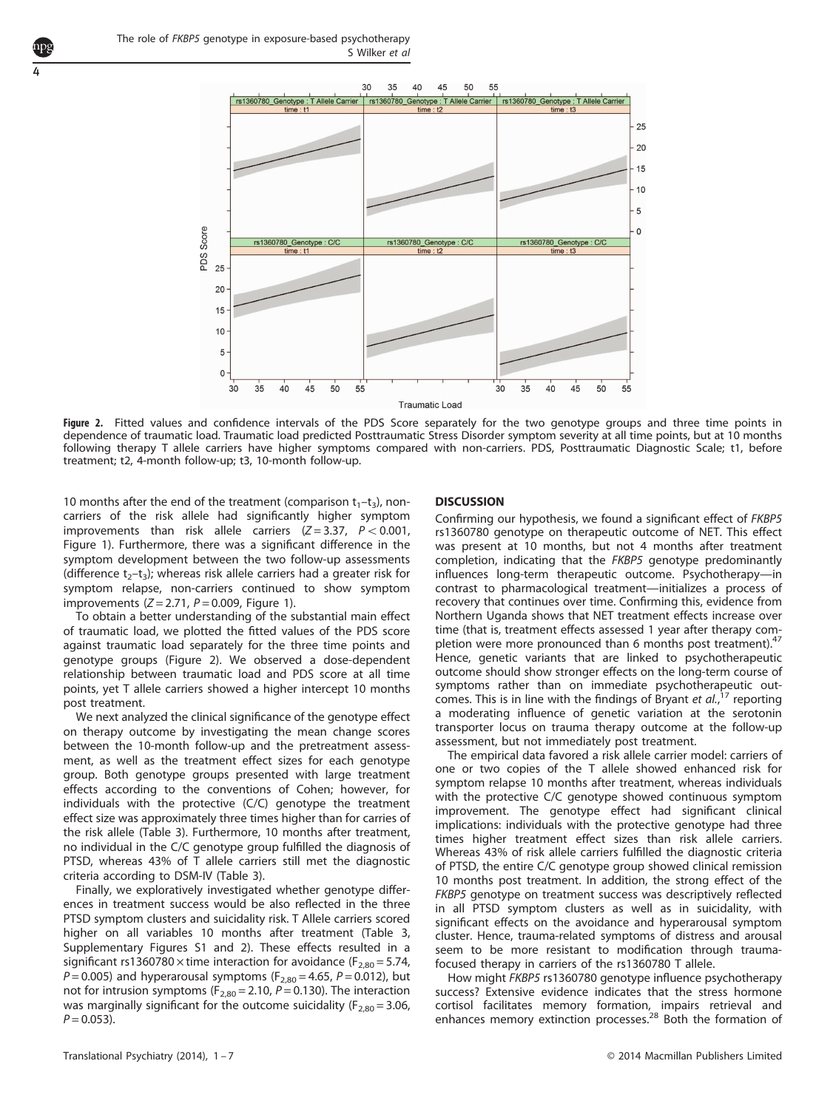4



Figure 2. Fitted values and confidence intervals of the PDS Score separately for the two genotype groups and three time points in dependence of traumatic load. Traumatic load predicted Posttraumatic Stress Disorder symptom severity at all time points, but at 10 months following therapy T allele carriers have higher symptoms compared with non-carriers. PDS, Posttraumatic Diagnostic Scale; t1, before treatment; t2, 4-month follow-up; t3, 10-month follow-up.

10 months after the end of the treatment (comparison  $t_1-t_3$ ), noncarriers of the risk allele had significantly higher symptom improvements than risk allele carriers  $(Z=3.37, P<0.001,$ [Figure 1](#page-2-0)). Furthermore, there was a significant difference in the symptom development between the two follow-up assessments (difference  $t_2-t_3$ ); whereas risk allele carriers had a greater risk for symptom relapse, non-carriers continued to show symptom improvements  $(Z = 2.71, P = 0.009,$  [Figure 1](#page-2-0)).

To obtain a better understanding of the substantial main effect of traumatic load, we plotted the fitted values of the PDS score against traumatic load separately for the three time points and genotype groups (Figure 2). We observed a dose-dependent relationship between traumatic load and PDS score at all time points, yet T allele carriers showed a higher intercept 10 months post treatment.

We next analyzed the clinical significance of the genotype effect on therapy outcome by investigating the mean change scores between the 10-month follow-up and the pretreatment assessment, as well as the treatment effect sizes for each genotype group. Both genotype groups presented with large treatment effects according to the conventions of Cohen; however, for individuals with the protective (C/C) genotype the treatment effect size was approximately three times higher than for carries of the risk allele [\(Table 3](#page-4-0)). Furthermore, 10 months after treatment, no individual in the C/C genotype group fulfilled the diagnosis of PTSD, whereas 43% of T allele carriers still met the diagnostic criteria according to DSM-IV [\(Table 3](#page-4-0)).

Finally, we exploratively investigated whether genotype differences in treatment success would be also reflected in the three PTSD symptom clusters and suicidality risk. T Allele carriers scored higher on all variables 10 months after treatment [\(Table 3,](#page-4-0) Supplementary Figures S1 and 2). These effects resulted in a significant rs1360780  $\times$  time interaction for avoidance (F<sub>2,80</sub> = 5.74,  $P = 0.005$ ) and hyperarousal symptoms ( $F_{2,80} = 4.65$ ,  $P = 0.012$ ), but not for intrusion symptoms ( $F_{2,80} = 2.10$ ,  $P = 0.130$ ). The interaction was marginally significant for the outcome suicidality ( $F_{2,80} = 3.06$ ,  $P = 0.053$ ).

# **DISCUSSION**

Confirming our hypothesis, we found a significant effect of FKBP5 rs1360780 genotype on therapeutic outcome of NET. This effect was present at 10 months, but not 4 months after treatment completion, indicating that the FKBP5 genotype predominantly influences long-term therapeutic outcome. Psychotherapy—in contrast to pharmacological treatment—initializes a process of recovery that continues over time. Confirming this, evidence from Northern Uganda shows that NET treatment effects increase over time (that is, treatment effects assessed 1 year after therapy completion were more pronounced than 6 months post treatment).<sup>4</sup> Hence, genetic variants that are linked to psychotherapeutic outcome should show stronger effects on the long-term course of symptoms rather than on immediate psychotherapeutic outcomes. This is in line with the findings of Bryant et  $al.$ <sup>[17](#page-5-0)</sup> reporting a moderating influence of genetic variation at the serotonin transporter locus on trauma therapy outcome at the follow-up assessment, but not immediately post treatment.

The empirical data favored a risk allele carrier model: carriers of one or two copies of the T allele showed enhanced risk for symptom relapse 10 months after treatment, whereas individuals with the protective C/C genotype showed continuous symptom improvement. The genotype effect had significant clinical implications: individuals with the protective genotype had three times higher treatment effect sizes than risk allele carriers. Whereas 43% of risk allele carriers fulfilled the diagnostic criteria of PTSD, the entire C/C genotype group showed clinical remission 10 months post treatment. In addition, the strong effect of the FKBP5 genotype on treatment success was descriptively reflected in all PTSD symptom clusters as well as in suicidality, with significant effects on the avoidance and hyperarousal symptom cluster. Hence, trauma-related symptoms of distress and arousal seem to be more resistant to modification through traumafocused therapy in carriers of the rs1360780 T allele.

How might FKBP5 rs1360780 genotype influence psychotherapy success? Extensive evidence indicates that the stress hormone cortisol facilitates memory formation, impairs retrieval and<br>enhances memory extinction processes.<sup>[28](#page-5-0)</sup> Both the formation of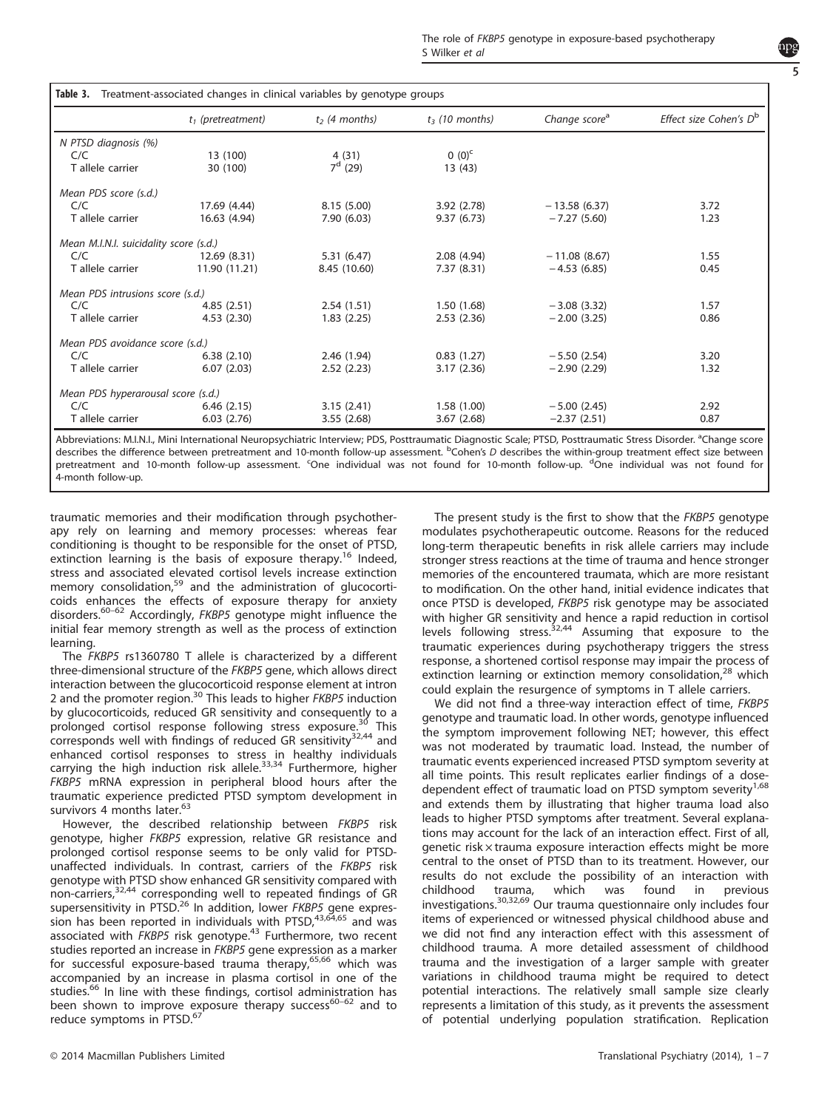<span id="page-4-0"></span>

|                                        | $t_1$ (pretreatment) | $t2$ (4 months) | $t3$ (10 months) | Change score <sup>a</sup> | Effect size Cohen's D <sup>b</sup> |
|----------------------------------------|----------------------|-----------------|------------------|---------------------------|------------------------------------|
| N PTSD diagnosis (%)                   |                      |                 |                  |                           |                                    |
| C/C                                    | 13 (100)             | 4(31)           | $0(0)^c$         |                           |                                    |
| T allele carrier                       | 30 (100)             | $7^d$ (29)      | 13 (43)          |                           |                                    |
| Mean PDS score (s.d.)                  |                      |                 |                  |                           |                                    |
| C/C                                    | 17.69 (4.44)         | 8.15(5.00)      | 3.92(2.78)       | $-13.58(6.37)$            | 3.72                               |
| T allele carrier                       | 16.63 (4.94)         | 7.90(6.03)      | 9.37(6.73)       | $-7.27(5.60)$             | 1.23                               |
| Mean M.I.N.I. suicidality score (s.d.) |                      |                 |                  |                           |                                    |
| C/C                                    | 12.69 (8.31)         | 5.31(6.47)      | 2.08(4.94)       | $-11.08(8.67)$            | 1.55                               |
| T allele carrier                       | 11.90 (11.21)        | 8.45 (10.60)    | 7.37 (8.31)      | $-4.53(6.85)$             | 0.45                               |
| Mean PDS intrusions score (s.d.)       |                      |                 |                  |                           |                                    |
| C/C                                    | 4.85(2.51)           | 2.54(1.51)      | 1.50(1.68)       | $-3.08(3.32)$             | 1.57                               |
| T allele carrier                       | 4.53(2.30)           | 1.83(2.25)      | 2.53(2.36)       | $-2.00(3.25)$             | 0.86                               |
| Mean PDS avoidance score (s.d.)        |                      |                 |                  |                           |                                    |
| C/C                                    | 6.38(2.10)           | 2.46(1.94)      | 0.83(1.27)       | $-5.50(2.54)$             | 3.20                               |
| T allele carrier                       | 6.07(2.03)           | 2.52(2.23)      | 3.17(2.36)       | $-2.90(2.29)$             | 1.32                               |
| Mean PDS hyperarousal score (s.d.)     |                      |                 |                  |                           |                                    |
| C/C                                    | 6.46(2.15)           | 3.15(2.41)      | 1.58(1.00)       | $-5.00(2.45)$             | 2.92                               |
| T allele carrier                       | 6.03(2.76)           | 3.55(2.68)      | 3.67(2.68)       | $-2.37(2.51)$             | 0.87                               |

Abbreviations: M.I.N.I., Mini International Neuropsychiatric Interview; PDS, Posttraumatic Diagnostic Scale; PTSD, Posttraumatic Stress Disorder. <sup>a</sup>Change score describes the difference between pretreatment and 10-month follow-up assessment. <sup>b</sup>Cohen's D describes the within-group treatment effect size between pretreatment and 10-month follow-up assessment. <sup>c</sup>One individual was not found for 10-month follow-up. <sup>d</sup>One individual was not found for 4-month follow-up.

traumatic memories and their modification through psychotherapy rely on learning and memory processes: whereas fear conditioning is thought to be responsible for the onset of PTSD, extinction learning is the basis of exposure therapy.<sup>[16](#page-5-0)</sup> Indeed, stress and associated elevated cortisol levels increase extinction memory consolidation,<sup>[59](#page-6-0)</sup> and the administration of glucocorticoids enhances the effects of exposure therapy for anxiety disorders.<sup>[60](#page-6-0)–62</sup> Accordingly, FKBP5 genotype might influence the initial fear memory strength as well as the process of extinction learning.

The FKBP5 rs1360780 T allele is characterized by a different three-dimensional structure of the FKBP5 gene, which allows direct interaction between the glucocorticoid response element at intron 2 and the promoter region.<sup>[30](#page-5-0)</sup> This leads to higher *FKBP5* induction by glucocorticoids, reduced GR sensitivity and consequently to a prolonged cortisol response following stress exposure.<sup>[30](#page-5-0)</sup> This corresponds well with findings of reduced GR sensitivity $32,44$  $32,44$  $32,44$  and enhanced cortisol responses to stress in healthy individuals<br>carrying the high induction risk allele.<sup>[33,34](#page-5-0)</sup> Furthermore, higher FKBP5 mRNA expression in peripheral blood hours after the traumatic experience predicted PTSD symptom development in survivors 4 months later.<sup>[63](#page-6-0)</sup>

However, the described relationship between FKBP5 risk genotype, higher FKBP5 expression, relative GR resistance and prolonged cortisol response seems to be only valid for PTSDunaffected individuals. In contrast, carriers of the FKBP5 risk genotype with PTSD show enhanced GR sensitivity compared with non-carriers,<sup>[32](#page-5-0)[,44](#page-6-0)</sup> corresponding well to repeated findings of GR supersensitivity in PTSD.<sup>[26](#page-5-0)</sup> In addition, lower FKBP5 gene expres-sion has been reported in individuals with PTSD,<sup>[43,64,65](#page-6-0)</sup> and was associated with FKBP5 risk genotype.<sup>[43](#page-6-0)</sup> Furthermore, two recent studies reported an increase in FKBP5 gene expression as a marker for successful exposure-based trauma therapy,<sup>[65](#page-6-0),[66](#page-6-0)</sup> which was accompanied by an increase in plasma cortisol in one of the studies.<sup>[66](#page-6-0)</sup> In line with these findings, cortisol admi[nistrat](#page-6-0)ion has been shown to improve exposure therapy success<sup>60-62</sup> and to reduce symptoms in PTSD.<sup>[67](#page-6-0)</sup>

The present study is the first to show that the FKBP5 genotype modulates psychotherapeutic outcome. Reasons for the reduced long-term therapeutic benefits in risk allele carriers may include stronger stress reactions at the time of trauma and hence stronger memories of the encountered traumata, which are more resistant to modification. On the other hand, initial evidence indicates that once PTSD is developed, FKBP5 risk genotype may be associated with higher GR sensitivity and hence a rapid reduction in cortisol levels following stress.<sup>[32](#page-5-0)[,44](#page-6-0)</sup> Assuming that exposure to the traumatic experiences during psychotherapy triggers the stress response, a shortened cortisol response may impair the process of extinction learning or extinction memory consolidation,<sup>[28](#page-5-0)</sup> which could explain the resurgence of symptoms in T allele carriers.

We did not find a three-way interaction effect of time, FKBP5 genotype and traumatic load. In other words, genotype influenced the symptom improvement following NET; however, this effect was not moderated by traumatic load. Instead, the number of traumatic events experienced increased PTSD symptom severity at all time points. This result replicates earlier findings of a dose-dependent effect of traumatic load on PTSD symptom severity<sup>[1,](#page-5-0)[68](#page-6-0)</sup> and extends them by illustrating that higher trauma load also leads to higher PTSD symptoms after treatment. Several explanations may account for the lack of an interaction effect. First of all, genetic risk × trauma exposure interaction effects might be more central to the onset of PTSD than to its treatment. However, our results do not exclude the possibility of an interaction with childhood trauma, which was found in previous investigations.[30](#page-5-0),[32,](#page-5-0)[69](#page-6-0) Our trauma questionnaire only includes four items of experienced or witnessed physical childhood abuse and we did not find any interaction effect with this assessment of childhood trauma. A more detailed assessment of childhood trauma and the investigation of a larger sample with greater variations in childhood trauma might be required to detect potential interactions. The relatively small sample size clearly represents a limitation of this study, as it prevents the assessment of potential underlying population stratification. Replication

5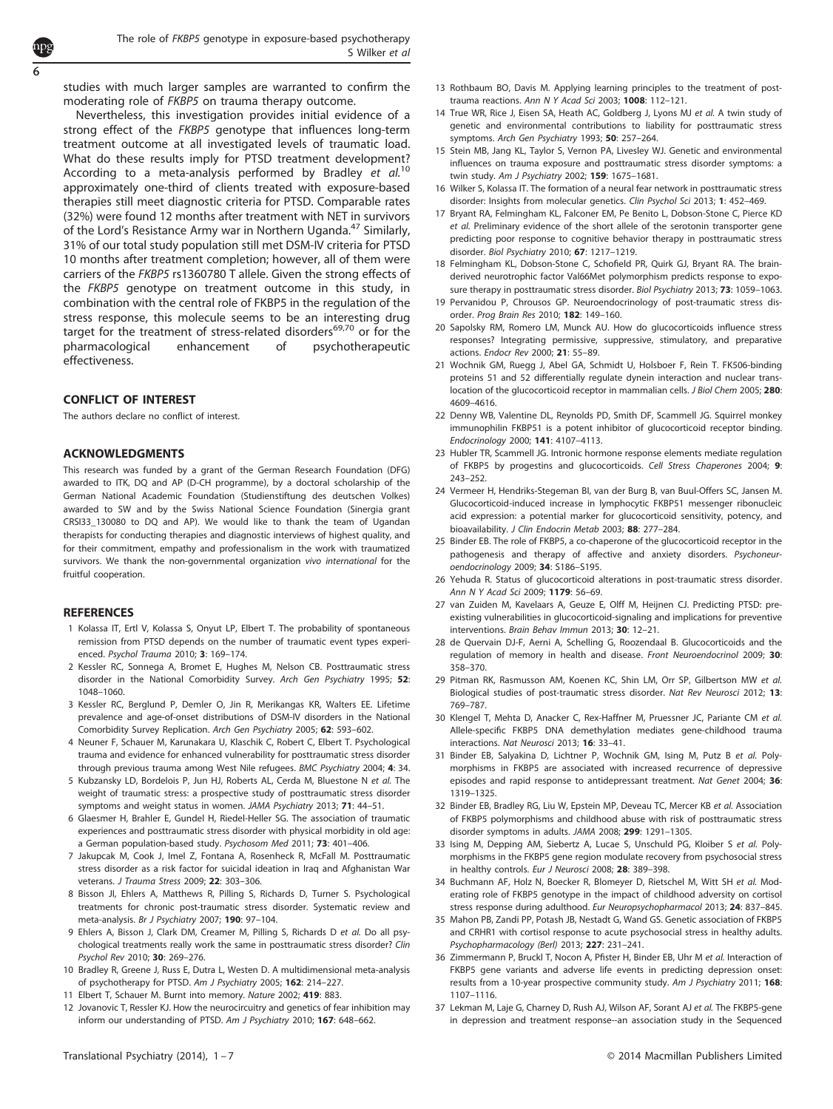<span id="page-5-0"></span>studies with much larger samples are warranted to confirm the moderating role of FKBP5 on trauma therapy outcome.

Nevertheless, this investigation provides initial evidence of a strong effect of the FKBP5 genotype that influences long-term treatment outcome at all investigated levels of traumatic load. What do these results imply for PTSD treatment development? According to a meta-analysis performed by Bradley et al.<sup>10</sup> approximately one-third of clients treated with exposure-based therapies still meet diagnostic criteria for PTSD. Comparable rates (32%) were found 12 months after treatment with NET in survivors of the Lord's Resistance Army war in Northern Uganda.<sup>[47](#page-6-0)</sup> Similarly, 31% of our total study population still met DSM-IV criteria for PTSD 10 months after treatment completion; however, all of them were carriers of the FKBP5 rs1360780 T allele. Given the strong effects of the FKBP5 genotype on treatment outcome in this study, in combination with the central role of FKBP5 in the regulation of the stress response, this molecule seems to be an interesting drug target for the treatment of stress-related disorders $69,70$  $69,70$  $69,70$  or for the pharmacological enhancement of psychotherapeutic effectiveness.

# CONFLICT OF INTEREST

The authors declare no conflict of interest.

# ACKNOWLEDGMENTS

This research was funded by a grant of the German Research Foundation (DFG) awarded to ITK, DQ and AP (D-CH programme), by a doctoral scholarship of the German National Academic Foundation (Studienstiftung des deutschen Volkes) awarded to SW and by the Swiss National Science Foundation (Sinergia grant CRSI33\_130080 to DQ and AP). We would like to thank the team of Ugandan therapists for conducting therapies and diagnostic interviews of highest quality, and for their commitment, empathy and professionalism in the work with traumatized survivors. We thank the non-governmental organization vivo international for the fruitful cooperation.

## **REFERENCES**

- 1 Kolassa IT, Ertl V, Kolassa S, Onyut LP, Elbert T. The probability of spontaneous remission from PTSD depends on the number of traumatic event types experienced. Psychol Trauma 2010; 3: 169–174.
- 2 Kessler RC, Sonnega A, Bromet E, Hughes M, Nelson CB. Posttraumatic stress disorder in the National Comorbidity Survey. Arch Gen Psychiatry 1995; 52: 1048–1060.
- 3 Kessler RC, Berglund P, Demler O, Jin R, Merikangas KR, Walters EE. Lifetime prevalence and age-of-onset distributions of DSM-IV disorders in the National Comorbidity Survey Replication. Arch Gen Psychiatry 2005; 62: 593–602.
- 4 Neuner F, Schauer M, Karunakara U, Klaschik C, Robert C, Elbert T. Psychological trauma and evidence for enhanced vulnerability for posttraumatic stress disorder through previous trauma among West Nile refugees. BMC Psychiatry 2004; 4: 34.
- 5 Kubzansky LD, Bordelois P, Jun HJ, Roberts AL, Cerda M, Bluestone N et al. The weight of traumatic stress: a prospective study of posttraumatic stress disorder symptoms and weight status in women. JAMA Psychiatry 2013; 71: 44–51.
- 6 Glaesmer H, Brahler E, Gundel H, Riedel-Heller SG. The association of traumatic experiences and posttraumatic stress disorder with physical morbidity in old age: a German population-based study. Psychosom Med 2011; 73: 401–406.
- 7 Jakupcak M, Cook J, Imel Z, Fontana A, Rosenheck R, McFall M. Posttraumatic stress disorder as a risk factor for suicidal ideation in Iraq and Afghanistan War veterans. J Trauma Stress 2009; 22: 303–306.
- 8 Bisson JI, Ehlers A, Matthews R, Pilling S, Richards D, Turner S. Psychological treatments for chronic post-traumatic stress disorder. Systematic review and meta-analysis. Br J Psychiatry 2007; 190: 97–104.
- 9 Ehlers A, Bisson J, Clark DM, Creamer M, Pilling S, Richards D et al. Do all psychological treatments really work the same in posttraumatic stress disorder? Clin Psychol Rev 2010; 30: 269–276.
- 10 Bradley R, Greene J, Russ E, Dutra L, Westen D. A multidimensional meta-analysis of psychotherapy for PTSD. Am J Psychiatry 2005; 162: 214-227.
- 11 Elbert T, Schauer M. Burnt into memory. Nature 2002; 419: 883.
- 12 Jovanovic T, Ressler KJ. How the neurocircuitry and genetics of fear inhibition may inform our understanding of PTSD. Am J Psychiatry 2010; 167: 648–662.
- 13 Rothbaum BO, Davis M. Applying learning principles to the treatment of posttrauma reactions. Ann N Y Acad Sci 2003; 1008: 112–121.
- 14 True WR, Rice J, Eisen SA, Heath AC, Goldberg J, Lyons MJ et al. A twin study of genetic and environmental contributions to liability for posttraumatic stress symptoms. Arch Gen Psychiatry 1993; 50: 257–264.
- 15 Stein MB, Jang KL, Taylor S, Vernon PA, Livesley WJ. Genetic and environmental influences on trauma exposure and posttraumatic stress disorder symptoms: a twin study. Am J Psychiatry 2002; 159: 1675-1681.
- 16 Wilker S, Kolassa IT. The formation of a neural fear network in posttraumatic stress disorder: Insights from molecular genetics. Clin Psychol Sci 2013; 1: 452–469.
- 17 Bryant RA, Felmingham KL, Falconer EM, Pe Benito L, Dobson-Stone C, Pierce KD et al. Preliminary evidence of the short allele of the serotonin transporter gene predicting poor response to cognitive behavior therapy in posttraumatic stress disorder. Biol Psychiatry 2010; 67: 1217–1219.
- 18 Felmingham KL, Dobson-Stone C, Schofield PR, Quirk GJ, Bryant RA. The brainderived neurotrophic factor Val66Met polymorphism predicts response to exposure therapy in posttraumatic stress disorder. Biol Psychiatry 2013; 73: 1059–1063.
- 19 Pervanidou P, Chrousos GP. Neuroendocrinology of post-traumatic stress disorder. Prog Brain Res 2010; 182: 149–160.
- 20 Sapolsky RM, Romero LM, Munck AU. How do glucocorticoids influence stress responses? Integrating permissive, suppressive, stimulatory, and preparative actions. Endocr Rev 2000; 21: 55–89.
- 21 Wochnik GM, Ruegg J, Abel GA, Schmidt U, Holsboer F, Rein T. FK506-binding proteins 51 and 52 differentially regulate dynein interaction and nuclear translocation of the glucocorticoid receptor in mammalian cells. J Biol Chem 2005; 280: 4609–4616.
- 22 Denny WB, Valentine DL, Reynolds PD, Smith DF, Scammell JG. Squirrel monkey immunophilin FKBP51 is a potent inhibitor of glucocorticoid receptor binding. Endocrinology 2000; 141: 4107–4113.
- 23 Hubler TR, Scammell JG. Intronic hormone response elements mediate regulation of FKBP5 by progestins and glucocorticoids. Cell Stress Chaperones 2004; 9: 243–252.
- 24 Vermeer H, Hendriks-Stegeman BI, van der Burg B, van Buul-Offers SC, Jansen M. Glucocorticoid-induced increase in lymphocytic FKBP51 messenger ribonucleic acid expression: a potential marker for glucocorticoid sensitivity, potency, and bioavailability. J Clin Endocrin Metab 2003; 88: 277–284.
- 25 Binder EB. The role of FKBP5, a co-chaperone of the glucocorticoid receptor in the pathogenesis and therapy of affective and anxiety disorders. Psychoneuroendocrinology 2009; 34: S186–S195.
- 26 Yehuda R. Status of glucocorticoid alterations in post-traumatic stress disorder. Ann N Y Acad Sci 2009; 1179: 56–69.
- 27 van Zuiden M, Kavelaars A, Geuze E, Olff M, Heijnen CJ. Predicting PTSD: preexisting vulnerabilities in glucocorticoid-signaling and implications for preventive interventions. Brain Behav Immun 2013; 30: 12–21.
- 28 de Quervain DJ-F, Aerni A, Schelling G, Roozendaal B. Glucocorticoids and the regulation of memory in health and disease. Front Neuroendocrinol 2009; 30: 358–370.
- 29 Pitman RK, Rasmusson AM, Koenen KC, Shin LM, Orr SP, Gilbertson MW et al. Biological studies of post-traumatic stress disorder. Nat Rev Neurosci 2012; 13: 769–787.
- 30 Klengel T, Mehta D, Anacker C, Rex-Haffner M, Pruessner JC, Pariante CM et al. Allele-specific FKBP5 DNA demethylation mediates gene-childhood trauma interactions. Nat Neurosci 2013; 16: 33–41.
- 31 Binder EB, Salyakina D, Lichtner P, Wochnik GM, Ising M, Putz B et al. Polymorphisms in FKBP5 are associated with increased recurrence of depressive episodes and rapid response to antidepressant treatment. Nat Genet 2004; 36: 1319–1325.
- 32 Binder EB, Bradley RG, Liu W, Epstein MP, Deveau TC, Mercer KB et al. Association of FKBP5 polymorphisms and childhood abuse with risk of posttraumatic stress disorder symptoms in adults. JAMA 2008; 299: 1291–1305.
- 33 Ising M, Depping AM, Siebertz A, Lucae S, Unschuld PG, Kloiber S et al. Polymorphisms in the FKBP5 gene region modulate recovery from psychosocial stress in healthy controls. Eur J Neurosci 2008; 28: 389–398.
- 34 Buchmann AF, Holz N, Boecker R, Blomeyer D, Rietschel M, Witt SH et al. Moderating role of FKBP5 genotype in the impact of childhood adversity on cortisol stress response during adulthood. Eur Neuropsychopharmacol 2013; 24: 837–845.
- 35 Mahon PB, Zandi PP, Potash JB, Nestadt G, Wand GS. Genetic association of FKBP5 and CRHR1 with cortisol response to acute psychosocial stress in healthy adults. Psychopharmacology (Berl) 2013; 227: 231–241.
- 36 Zimmermann P, Bruckl T, Nocon A, Pfister H, Binder EB, Uhr M et al. Interaction of FKBP5 gene variants and adverse life events in predicting depression onset: results from a 10-year prospective community study. Am J Psychiatry 2011; 168: 1107–1116.
- 37 Lekman M, Laje G, Charney D, Rush AJ, Wilson AF, Sorant AJ et al. The FKBP5-gene in depression and treatment response--an association study in the Sequenced